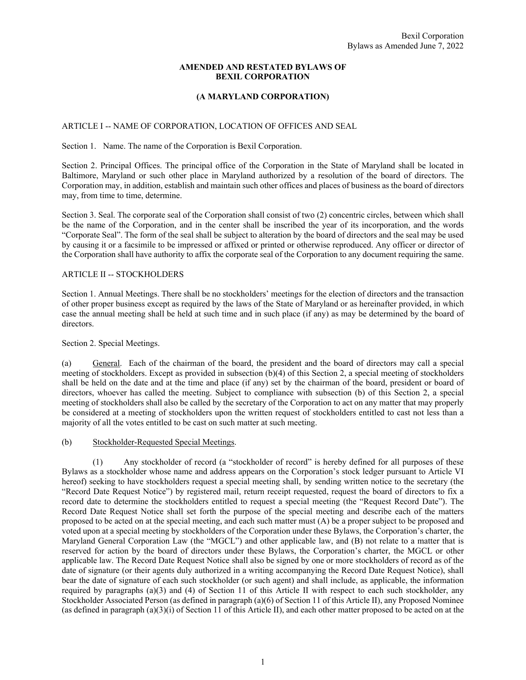#### **AMENDED AND RESTATED BYLAWS OF BEXIL CORPORATION**

### **(A MARYLAND CORPORATION)**

#### ARTICLE I -- NAME OF CORPORATION, LOCATION OF OFFICES AND SEAL

Section 1. Name. The name of the Corporation is Bexil Corporation.

Section 2. Principal Offices. The principal office of the Corporation in the State of Maryland shall be located in Baltimore, Maryland or such other place in Maryland authorized by a resolution of the board of directors. The Corporation may, in addition, establish and maintain such other offices and places of business as the board of directors may, from time to time, determine.

Section 3. Seal. The corporate seal of the Corporation shall consist of two (2) concentric circles, between which shall be the name of the Corporation, and in the center shall be inscribed the year of its incorporation, and the words "Corporate Seal". The form of the seal shall be subject to alteration by the board of directors and the seal may be used by causing it or a facsimile to be impressed or affixed or printed or otherwise reproduced. Any officer or director of the Corporation shall have authority to affix the corporate seal of the Corporation to any document requiring the same.

#### ARTICLE II -- STOCKHOLDERS

Section 1. Annual Meetings. There shall be no stockholders' meetings for the election of directors and the transaction of other proper business except as required by the laws of the State of Maryland or as hereinafter provided, in which case the annual meeting shall be held at such time and in such place (if any) as may be determined by the board of directors.

#### Section 2. Special Meetings.

(a) General. Each of the chairman of the board, the president and the board of directors may call a special meeting of stockholders. Except as provided in subsection (b)(4) of this Section 2, a special meeting of stockholders shall be held on the date and at the time and place (if any) set by the chairman of the board, president or board of directors, whoever has called the meeting. Subject to compliance with subsection (b) of this Section 2, a special meeting of stockholders shall also be called by the secretary of the Corporation to act on any matter that may properly be considered at a meeting of stockholders upon the written request of stockholders entitled to cast not less than a majority of all the votes entitled to be cast on such matter at such meeting.

#### (b) Stockholder-Requested Special Meetings.

 (1) Any stockholder of record (a "stockholder of record" is hereby defined for all purposes of these Bylaws as a stockholder whose name and address appears on the Corporation's stock ledger pursuant to Article VI hereof) seeking to have stockholders request a special meeting shall, by sending written notice to the secretary (the "Record Date Request Notice") by registered mail, return receipt requested, request the board of directors to fix a record date to determine the stockholders entitled to request a special meeting (the "Request Record Date"). The Record Date Request Notice shall set forth the purpose of the special meeting and describe each of the matters proposed to be acted on at the special meeting, and each such matter must (A) be a proper subject to be proposed and voted upon at a special meeting by stockholders of the Corporation under these Bylaws, the Corporation's charter, the Maryland General Corporation Law (the "MGCL") and other applicable law, and (B) not relate to a matter that is reserved for action by the board of directors under these Bylaws, the Corporation's charter, the MGCL or other applicable law. The Record Date Request Notice shall also be signed by one or more stockholders of record as of the date of signature (or their agents duly authorized in a writing accompanying the Record Date Request Notice), shall bear the date of signature of each such stockholder (or such agent) and shall include, as applicable, the information required by paragraphs (a)(3) and (4) of Section 11 of this Article II with respect to each such stockholder, any Stockholder Associated Person (as defined in paragraph (a)(6) of Section 11 of this Article II), any Proposed Nominee (as defined in paragraph  $(a)(3)(i)$  of Section 11 of this Article II), and each other matter proposed to be acted on at the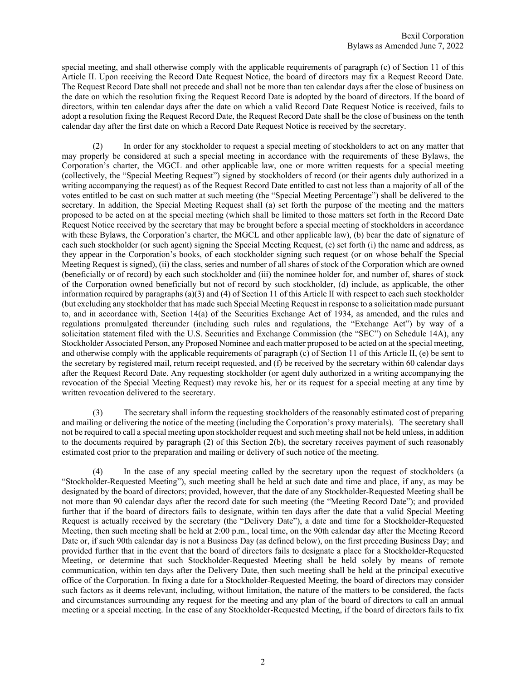special meeting, and shall otherwise comply with the applicable requirements of paragraph (c) of Section 11 of this Article II. Upon receiving the Record Date Request Notice, the board of directors may fix a Request Record Date. The Request Record Date shall not precede and shall not be more than ten calendar days after the close of business on the date on which the resolution fixing the Request Record Date is adopted by the board of directors. If the board of directors, within ten calendar days after the date on which a valid Record Date Request Notice is received, fails to adopt a resolution fixing the Request Record Date, the Request Record Date shall be the close of business on the tenth calendar day after the first date on which a Record Date Request Notice is received by the secretary.

 (2) In order for any stockholder to request a special meeting of stockholders to act on any matter that may properly be considered at such a special meeting in accordance with the requirements of these Bylaws, the Corporation's charter, the MGCL and other applicable law, one or more written requests for a special meeting (collectively, the "Special Meeting Request") signed by stockholders of record (or their agents duly authorized in a writing accompanying the request) as of the Request Record Date entitled to cast not less than a majority of all of the votes entitled to be cast on such matter at such meeting (the "Special Meeting Percentage") shall be delivered to the secretary. In addition, the Special Meeting Request shall (a) set forth the purpose of the meeting and the matters proposed to be acted on at the special meeting (which shall be limited to those matters set forth in the Record Date Request Notice received by the secretary that may be brought before a special meeting of stockholders in accordance with these Bylaws, the Corporation's charter, the MGCL and other applicable law), (b) bear the date of signature of each such stockholder (or such agent) signing the Special Meeting Request, (c) set forth (i) the name and address, as they appear in the Corporation's books, of each stockholder signing such request (or on whose behalf the Special Meeting Request is signed), (ii) the class, series and number of all shares of stock of the Corporation which are owned (beneficially or of record) by each such stockholder and (iii) the nominee holder for, and number of, shares of stock of the Corporation owned beneficially but not of record by such stockholder, (d) include, as applicable, the other information required by paragraphs (a)(3) and (4) of Section 11 of this Article II with respect to each such stockholder (but excluding any stockholder that has made such Special Meeting Request in response to a solicitation made pursuant to, and in accordance with, Section 14(a) of the Securities Exchange Act of 1934, as amended, and the rules and regulations promulgated thereunder (including such rules and regulations, the "Exchange Act") by way of a solicitation statement filed with the U.S. Securities and Exchange Commission (the "SEC") on Schedule 14A), any Stockholder Associated Person, any Proposed Nominee and each matter proposed to be acted on at the special meeting, and otherwise comply with the applicable requirements of paragraph (c) of Section 11 of this Article II, (e) be sent to the secretary by registered mail, return receipt requested, and (f) be received by the secretary within 60 calendar days after the Request Record Date. Any requesting stockholder (or agent duly authorized in a writing accompanying the revocation of the Special Meeting Request) may revoke his, her or its request for a special meeting at any time by written revocation delivered to the secretary.

 (3) The secretary shall inform the requesting stockholders of the reasonably estimated cost of preparing and mailing or delivering the notice of the meeting (including the Corporation's proxy materials). The secretary shall not be required to call a special meeting upon stockholder request and such meeting shall not be held unless, in addition to the documents required by paragraph (2) of this Section 2(b), the secretary receives payment of such reasonably estimated cost prior to the preparation and mailing or delivery of such notice of the meeting.

 (4) In the case of any special meeting called by the secretary upon the request of stockholders (a "Stockholder-Requested Meeting"), such meeting shall be held at such date and time and place, if any, as may be designated by the board of directors; provided, however, that the date of any Stockholder-Requested Meeting shall be not more than 90 calendar days after the record date for such meeting (the "Meeting Record Date"); and provided further that if the board of directors fails to designate, within ten days after the date that a valid Special Meeting Request is actually received by the secretary (the "Delivery Date"), a date and time for a Stockholder-Requested Meeting, then such meeting shall be held at 2:00 p.m., local time, on the 90th calendar day after the Meeting Record Date or, if such 90th calendar day is not a Business Day (as defined below), on the first preceding Business Day; and provided further that in the event that the board of directors fails to designate a place for a Stockholder-Requested Meeting, or determine that such Stockholder-Requested Meeting shall be held solely by means of remote communication, within ten days after the Delivery Date, then such meeting shall be held at the principal executive office of the Corporation. In fixing a date for a Stockholder-Requested Meeting, the board of directors may consider such factors as it deems relevant, including, without limitation, the nature of the matters to be considered, the facts and circumstances surrounding any request for the meeting and any plan of the board of directors to call an annual meeting or a special meeting. In the case of any Stockholder-Requested Meeting, if the board of directors fails to fix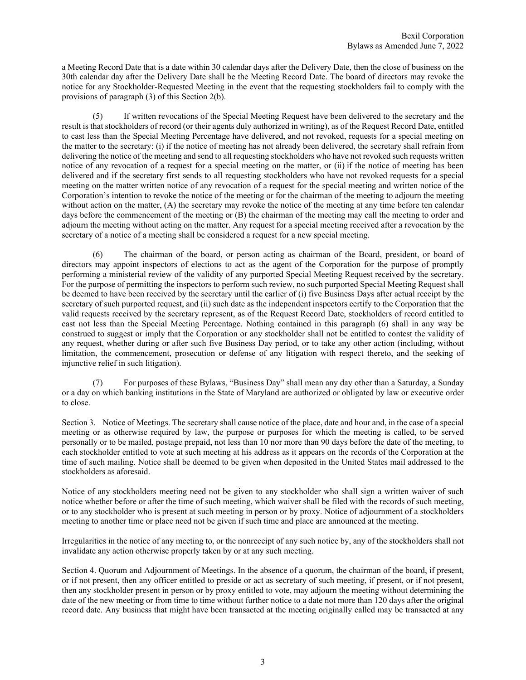a Meeting Record Date that is a date within 30 calendar days after the Delivery Date, then the close of business on the 30th calendar day after the Delivery Date shall be the Meeting Record Date. The board of directors may revoke the notice for any Stockholder-Requested Meeting in the event that the requesting stockholders fail to comply with the provisions of paragraph (3) of this Section 2(b).

 (5) If written revocations of the Special Meeting Request have been delivered to the secretary and the result is that stockholders of record (or their agents duly authorized in writing), as of the Request Record Date, entitled to cast less than the Special Meeting Percentage have delivered, and not revoked, requests for a special meeting on the matter to the secretary: (i) if the notice of meeting has not already been delivered, the secretary shall refrain from delivering the notice of the meeting and send to all requesting stockholders who have not revoked such requests written notice of any revocation of a request for a special meeting on the matter, or (ii) if the notice of meeting has been delivered and if the secretary first sends to all requesting stockholders who have not revoked requests for a special meeting on the matter written notice of any revocation of a request for the special meeting and written notice of the Corporation's intention to revoke the notice of the meeting or for the chairman of the meeting to adjourn the meeting without action on the matter, (A) the secretary may revoke the notice of the meeting at any time before ten calendar days before the commencement of the meeting or (B) the chairman of the meeting may call the meeting to order and adjourn the meeting without acting on the matter. Any request for a special meeting received after a revocation by the secretary of a notice of a meeting shall be considered a request for a new special meeting.

 (6) The chairman of the board, or person acting as chairman of the Board, president, or board of directors may appoint inspectors of elections to act as the agent of the Corporation for the purpose of promptly performing a ministerial review of the validity of any purported Special Meeting Request received by the secretary. For the purpose of permitting the inspectors to perform such review, no such purported Special Meeting Request shall be deemed to have been received by the secretary until the earlier of (i) five Business Days after actual receipt by the secretary of such purported request, and (ii) such date as the independent inspectors certify to the Corporation that the valid requests received by the secretary represent, as of the Request Record Date, stockholders of record entitled to cast not less than the Special Meeting Percentage. Nothing contained in this paragraph (6) shall in any way be construed to suggest or imply that the Corporation or any stockholder shall not be entitled to contest the validity of any request, whether during or after such five Business Day period, or to take any other action (including, without limitation, the commencement, prosecution or defense of any litigation with respect thereto, and the seeking of injunctive relief in such litigation).

For purposes of these Bylaws, "Business Day" shall mean any day other than a Saturday, a Sunday or a day on which banking institutions in the State of Maryland are authorized or obligated by law or executive order to close.

Section 3. Notice of Meetings. The secretary shall cause notice of the place, date and hour and, in the case of a special meeting or as otherwise required by law, the purpose or purposes for which the meeting is called, to be served personally or to be mailed, postage prepaid, not less than 10 nor more than 90 days before the date of the meeting, to each stockholder entitled to vote at such meeting at his address as it appears on the records of the Corporation at the time of such mailing. Notice shall be deemed to be given when deposited in the United States mail addressed to the stockholders as aforesaid.

Notice of any stockholders meeting need not be given to any stockholder who shall sign a written waiver of such notice whether before or after the time of such meeting, which waiver shall be filed with the records of such meeting, or to any stockholder who is present at such meeting in person or by proxy. Notice of adjournment of a stockholders meeting to another time or place need not be given if such time and place are announced at the meeting.

Irregularities in the notice of any meeting to, or the nonreceipt of any such notice by, any of the stockholders shall not invalidate any action otherwise properly taken by or at any such meeting.

Section 4. Quorum and Adjournment of Meetings. In the absence of a quorum, the chairman of the board, if present, or if not present, then any officer entitled to preside or act as secretary of such meeting, if present, or if not present, then any stockholder present in person or by proxy entitled to vote, may adjourn the meeting without determining the date of the new meeting or from time to time without further notice to a date not more than 120 days after the original record date. Any business that might have been transacted at the meeting originally called may be transacted at any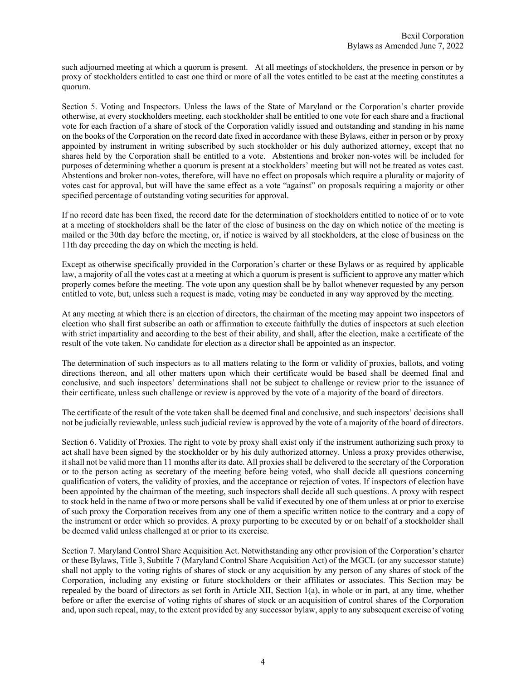such adjourned meeting at which a quorum is present. At all meetings of stockholders, the presence in person or by proxy of stockholders entitled to cast one third or more of all the votes entitled to be cast at the meeting constitutes a quorum.

Section 5. Voting and Inspectors. Unless the laws of the State of Maryland or the Corporation's charter provide otherwise, at every stockholders meeting, each stockholder shall be entitled to one vote for each share and a fractional vote for each fraction of a share of stock of the Corporation validly issued and outstanding and standing in his name on the books of the Corporation on the record date fixed in accordance with these Bylaws, either in person or by proxy appointed by instrument in writing subscribed by such stockholder or his duly authorized attorney, except that no shares held by the Corporation shall be entitled to a vote. Abstentions and broker non-votes will be included for purposes of determining whether a quorum is present at a stockholders' meeting but will not be treated as votes cast. Abstentions and broker non-votes, therefore, will have no effect on proposals which require a plurality or majority of votes cast for approval, but will have the same effect as a vote "against" on proposals requiring a majority or other specified percentage of outstanding voting securities for approval.

If no record date has been fixed, the record date for the determination of stockholders entitled to notice of or to vote at a meeting of stockholders shall be the later of the close of business on the day on which notice of the meeting is mailed or the 30th day before the meeting, or, if notice is waived by all stockholders, at the close of business on the 11th day preceding the day on which the meeting is held.

Except as otherwise specifically provided in the Corporation's charter or these Bylaws or as required by applicable law, a majority of all the votes cast at a meeting at which a quorum is present is sufficient to approve any matter which properly comes before the meeting. The vote upon any question shall be by ballot whenever requested by any person entitled to vote, but, unless such a request is made, voting may be conducted in any way approved by the meeting.

At any meeting at which there is an election of directors, the chairman of the meeting may appoint two inspectors of election who shall first subscribe an oath or affirmation to execute faithfully the duties of inspectors at such election with strict impartiality and according to the best of their ability, and shall, after the election, make a certificate of the result of the vote taken. No candidate for election as a director shall be appointed as an inspector.

The determination of such inspectors as to all matters relating to the form or validity of proxies, ballots, and voting directions thereon, and all other matters upon which their certificate would be based shall be deemed final and conclusive, and such inspectors' determinations shall not be subject to challenge or review prior to the issuance of their certificate, unless such challenge or review is approved by the vote of a majority of the board of directors.

The certificate of the result of the vote taken shall be deemed final and conclusive, and such inspectors' decisions shall not be judicially reviewable, unless such judicial review is approved by the vote of a majority of the board of directors.

Section 6. Validity of Proxies. The right to vote by proxy shall exist only if the instrument authorizing such proxy to act shall have been signed by the stockholder or by his duly authorized attorney. Unless a proxy provides otherwise, it shall not be valid more than 11 months after its date. All proxies shall be delivered to the secretary of the Corporation or to the person acting as secretary of the meeting before being voted, who shall decide all questions concerning qualification of voters, the validity of proxies, and the acceptance or rejection of votes. If inspectors of election have been appointed by the chairman of the meeting, such inspectors shall decide all such questions. A proxy with respect to stock held in the name of two or more persons shall be valid if executed by one of them unless at or prior to exercise of such proxy the Corporation receives from any one of them a specific written notice to the contrary and a copy of the instrument or order which so provides. A proxy purporting to be executed by or on behalf of a stockholder shall be deemed valid unless challenged at or prior to its exercise.

Section 7. Maryland Control Share Acquisition Act. Notwithstanding any other provision of the Corporation's charter or these Bylaws, Title 3, Subtitle 7 (Maryland Control Share Acquisition Act) of the MGCL (or any successor statute) shall not apply to the voting rights of shares of stock or any acquisition by any person of any shares of stock of the Corporation, including any existing or future stockholders or their affiliates or associates. This Section may be repealed by the board of directors as set forth in Article XII, Section 1(a), in whole or in part, at any time, whether before or after the exercise of voting rights of shares of stock or an acquisition of control shares of the Corporation and, upon such repeal, may, to the extent provided by any successor bylaw, apply to any subsequent exercise of voting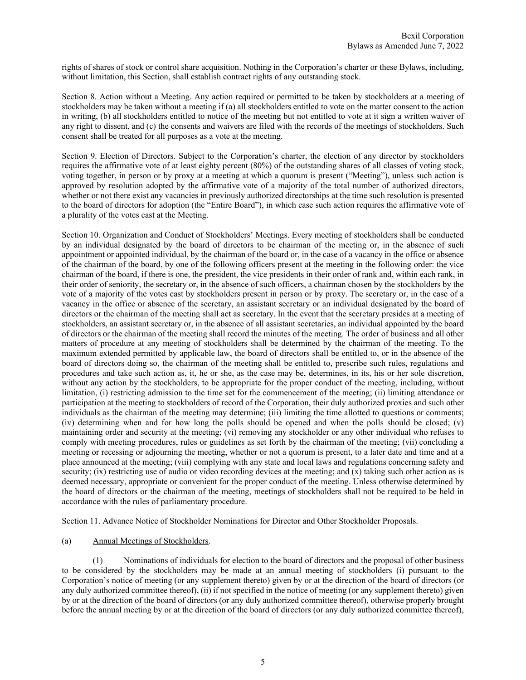rights of shares of stock or control share acquisition. Nothing in the Corporation's charter or these Bylaws, including, without limitation, this Section, shall establish contract rights of any outstanding stock.

Section 8. Action without a Meeting. Any action required or permitted to be taken by stockholders at a meeting of stockholders may be taken without a meeting if (a) all stockholders entitled to vote on the matter consent to the action in writing, (b) all stockholders entitled to notice of the meeting but not entitled to vote at it sign a written waiver of any right to dissent, and (c) the consents and waivers are filed with the records of the meetings of stockholders. Such consent shall be treated for all purposes as a vote at the meeting.

Section 9. Election of Directors. Subject to the Corporation's charter, the election of any director by stockholders requires the affirmative vote of at least eighty percent (80%) of the outstanding shares of all classes of voting stock, voting together, in person or by proxy at a meeting at which a quorum is present ("Meeting"), unless such action is approved by resolution adopted by the affirmative vote of a majority of the total number of authorized directors, whether or not there exist any vacancies in previously authorized directorships at the time such resolution is presented to the board of directors for adoption (the "Entire Board"), in which case such action requires the affirmative vote of a plurality of the votes cast at the Meeting.

Section 10. Organization and Conduct of Stockholders' Meetings. Every meeting of stockholders shall be conducted by an individual designated by the board of directors to be chairman of the meeting or, in the absence of such appointment or appointed individual, by the chairman of the board or, in the case of a vacancy in the office or absence of the chairman of the board, by one of the following officers present at the meeting in the following order: the vice chairman of the board, if there is one, the president, the vice presidents in their order of rank and, within each rank, in their order of seniority, the secretary or, in the absence of such officers, a chairman chosen by the stockholders by the vote of a majority of the votes cast by stockholders present in person or by proxy. The secretary or, in the case of a vacancy in the office or absence of the secretary, an assistant secretary or an individual designated by the board of directors or the chairman of the meeting shall act as secretary. In the event that the secretary presides at a meeting of stockholders, an assistant secretary or, in the absence of all assistant secretaries, an individual appointed by the board of directors or the chairman of the meeting shall record the minutes of the meeting. The order of business and all other matters of procedure at any meeting of stockholders shall be determined by the chairman of the meeting. To the maximum extended permitted by applicable law, the board of directors shall be entitled to, or in the absence of the board of directors doing so, the chairman of the meeting shall be entitled to, prescribe such rules, regulations and procedures and take such action as, it, he or she, as the case may be, determines, in its, his or her sole discretion, without any action by the stockholders, to be appropriate for the proper conduct of the meeting, including, without limitation, (i) restricting admission to the time set for the commencement of the meeting; (ii) limiting attendance or participation at the meeting to stockholders of record of the Corporation, their duly authorized proxies and such other individuals as the chairman of the meeting may determine; (iii) limiting the time allotted to questions or comments; (iv) determining when and for how long the polls should be opened and when the polls should be closed; (v) maintaining order and security at the meeting; (vi) removing any stockholder or any other individual who refuses to comply with meeting procedures, rules or guidelines as set forth by the chairman of the meeting; (vii) concluding a meeting or recessing or adjourning the meeting, whether or not a quorum is present, to a later date and time and at a place announced at the meeting; (viii) complying with any state and local laws and regulations concerning safety and security; (ix) restricting use of audio or video recording devices at the meeting; and (x) taking such other action as is deemed necessary, appropriate or convenient for the proper conduct of the meeting. Unless otherwise determined by the board of directors or the chairman of the meeting, meetings of stockholders shall not be required to be held in accordance with the rules of parliamentary procedure.

Section 11. Advance Notice of Stockholder Nominations for Director and Other Stockholder Proposals.

## (a) Annual Meetings of Stockholders.

 (1) Nominations of individuals for election to the board of directors and the proposal of other business to be considered by the stockholders may be made at an annual meeting of stockholders (i) pursuant to the Corporation's notice of meeting (or any supplement thereto) given by or at the direction of the board of directors (or any duly authorized committee thereof), (ii) if not specified in the notice of meeting (or any supplement thereto) given by or at the direction of the board of directors (or any duly authorized committee thereof), otherwise properly brought before the annual meeting by or at the direction of the board of directors (or any duly authorized committee thereof),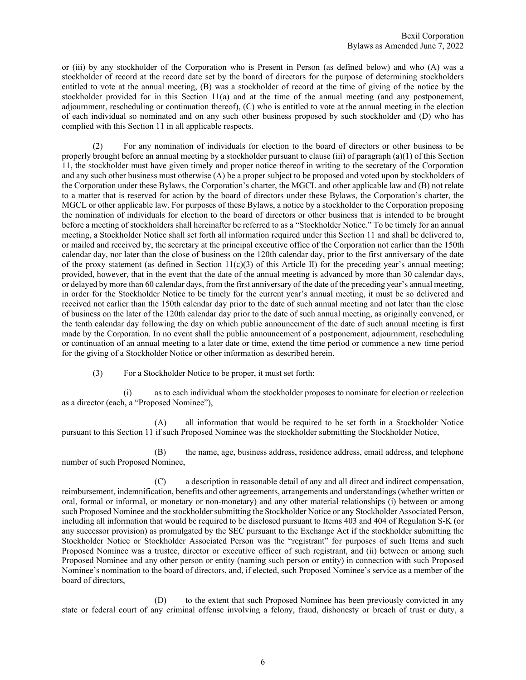or (iii) by any stockholder of the Corporation who is Present in Person (as defined below) and who (A) was a stockholder of record at the record date set by the board of directors for the purpose of determining stockholders entitled to vote at the annual meeting, (B) was a stockholder of record at the time of giving of the notice by the stockholder provided for in this Section 11(a) and at the time of the annual meeting (and any postponement, adjournment, rescheduling or continuation thereof), (C) who is entitled to vote at the annual meeting in the election of each individual so nominated and on any such other business proposed by such stockholder and (D) who has complied with this Section 11 in all applicable respects.

 (2) For any nomination of individuals for election to the board of directors or other business to be properly brought before an annual meeting by a stockholder pursuant to clause (iii) of paragraph (a)(1) of this Section 11, the stockholder must have given timely and proper notice thereof in writing to the secretary of the Corporation and any such other business must otherwise (A) be a proper subject to be proposed and voted upon by stockholders of the Corporation under these Bylaws, the Corporation's charter, the MGCL and other applicable law and (B) not relate to a matter that is reserved for action by the board of directors under these Bylaws, the Corporation's charter, the MGCL or other applicable law. For purposes of these Bylaws, a notice by a stockholder to the Corporation proposing the nomination of individuals for election to the board of directors or other business that is intended to be brought before a meeting of stockholders shall hereinafter be referred to as a "Stockholder Notice." To be timely for an annual meeting, a Stockholder Notice shall set forth all information required under this Section 11 and shall be delivered to, or mailed and received by, the secretary at the principal executive office of the Corporation not earlier than the 150th calendar day, nor later than the close of business on the 120th calendar day, prior to the first anniversary of the date of the proxy statement (as defined in Section  $11(c)(3)$  of this Article II) for the preceding year's annual meeting; provided, however, that in the event that the date of the annual meeting is advanced by more than 30 calendar days, or delayed by more than 60 calendar days, from the first anniversary of the date of the preceding year's annual meeting, in order for the Stockholder Notice to be timely for the current year's annual meeting, it must be so delivered and received not earlier than the 150th calendar day prior to the date of such annual meeting and not later than the close of business on the later of the 120th calendar day prior to the date of such annual meeting, as originally convened, or the tenth calendar day following the day on which public announcement of the date of such annual meeting is first made by the Corporation. In no event shall the public announcement of a postponement, adjournment, rescheduling or continuation of an annual meeting to a later date or time, extend the time period or commence a new time period for the giving of a Stockholder Notice or other information as described herein.

(3) For a Stockholder Notice to be proper, it must set forth:

 (i) as to each individual whom the stockholder proposes to nominate for election or reelection as a director (each, a "Proposed Nominee"),

 (A) all information that would be required to be set forth in a Stockholder Notice pursuant to this Section 11 if such Proposed Nominee was the stockholder submitting the Stockholder Notice,

 (B) the name, age, business address, residence address, email address, and telephone number of such Proposed Nominee,

 (C) a description in reasonable detail of any and all direct and indirect compensation, reimbursement, indemnification, benefits and other agreements, arrangements and understandings (whether written or oral, formal or informal, or monetary or non-monetary) and any other material relationships (i) between or among such Proposed Nominee and the stockholder submitting the Stockholder Notice or any Stockholder Associated Person, including all information that would be required to be disclosed pursuant to Items 403 and 404 of Regulation S-K (or any successor provision) as promulgated by the SEC pursuant to the Exchange Act if the stockholder submitting the Stockholder Notice or Stockholder Associated Person was the "registrant" for purposes of such Items and such Proposed Nominee was a trustee, director or executive officer of such registrant, and (ii) between or among such Proposed Nominee and any other person or entity (naming such person or entity) in connection with such Proposed Nominee's nomination to the board of directors, and, if elected, such Proposed Nominee's service as a member of the board of directors,

 (D) to the extent that such Proposed Nominee has been previously convicted in any state or federal court of any criminal offense involving a felony, fraud, dishonesty or breach of trust or duty, a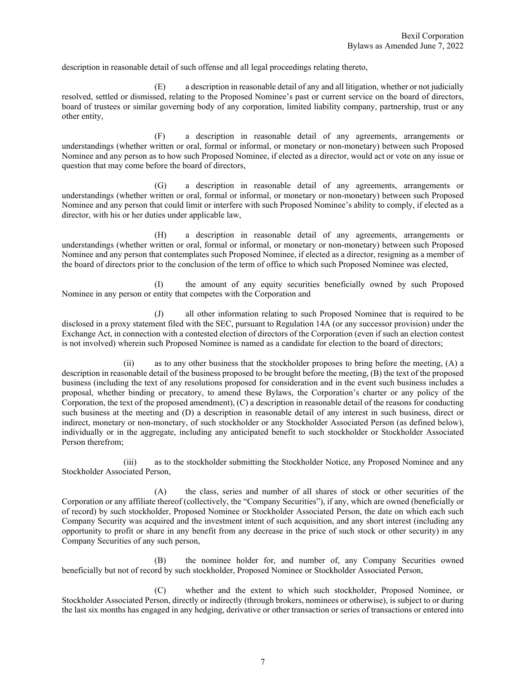description in reasonable detail of such offense and all legal proceedings relating thereto,

 (E) a description in reasonable detail of any and all litigation, whether or not judicially resolved, settled or dismissed, relating to the Proposed Nominee's past or current service on the board of directors, board of trustees or similar governing body of any corporation, limited liability company, partnership, trust or any other entity,

 (F) a description in reasonable detail of any agreements, arrangements or understandings (whether written or oral, formal or informal, or monetary or non-monetary) between such Proposed Nominee and any person as to how such Proposed Nominee, if elected as a director, would act or vote on any issue or question that may come before the board of directors,

 (G) a description in reasonable detail of any agreements, arrangements or understandings (whether written or oral, formal or informal, or monetary or non-monetary) between such Proposed Nominee and any person that could limit or interfere with such Proposed Nominee's ability to comply, if elected as a director, with his or her duties under applicable law,

 (H) a description in reasonable detail of any agreements, arrangements or understandings (whether written or oral, formal or informal, or monetary or non-monetary) between such Proposed Nominee and any person that contemplates such Proposed Nominee, if elected as a director, resigning as a member of the board of directors prior to the conclusion of the term of office to which such Proposed Nominee was elected,

 (I) the amount of any equity securities beneficially owned by such Proposed Nominee in any person or entity that competes with the Corporation and

 (J) all other information relating to such Proposed Nominee that is required to be disclosed in a proxy statement filed with the SEC, pursuant to Regulation 14A (or any successor provision) under the Exchange Act, in connection with a contested election of directors of the Corporation (even if such an election contest is not involved) wherein such Proposed Nominee is named as a candidate for election to the board of directors;

 (ii) as to any other business that the stockholder proposes to bring before the meeting, (A) a description in reasonable detail of the business proposed to be brought before the meeting, (B) the text of the proposed business (including the text of any resolutions proposed for consideration and in the event such business includes a proposal, whether binding or precatory, to amend these Bylaws, the Corporation's charter or any policy of the Corporation, the text of the proposed amendment), (C) a description in reasonable detail of the reasons for conducting such business at the meeting and (D) a description in reasonable detail of any interest in such business, direct or indirect, monetary or non-monetary, of such stockholder or any Stockholder Associated Person (as defined below), individually or in the aggregate, including any anticipated benefit to such stockholder or Stockholder Associated Person therefrom;

 (iii) as to the stockholder submitting the Stockholder Notice, any Proposed Nominee and any Stockholder Associated Person,

 (A) the class, series and number of all shares of stock or other securities of the Corporation or any affiliate thereof (collectively, the "Company Securities"), if any, which are owned (beneficially or of record) by such stockholder, Proposed Nominee or Stockholder Associated Person, the date on which each such Company Security was acquired and the investment intent of such acquisition, and any short interest (including any opportunity to profit or share in any benefit from any decrease in the price of such stock or other security) in any Company Securities of any such person,

 (B) the nominee holder for, and number of, any Company Securities owned beneficially but not of record by such stockholder, Proposed Nominee or Stockholder Associated Person,

 (C) whether and the extent to which such stockholder, Proposed Nominee, or Stockholder Associated Person, directly or indirectly (through brokers, nominees or otherwise), is subject to or during the last six months has engaged in any hedging, derivative or other transaction or series of transactions or entered into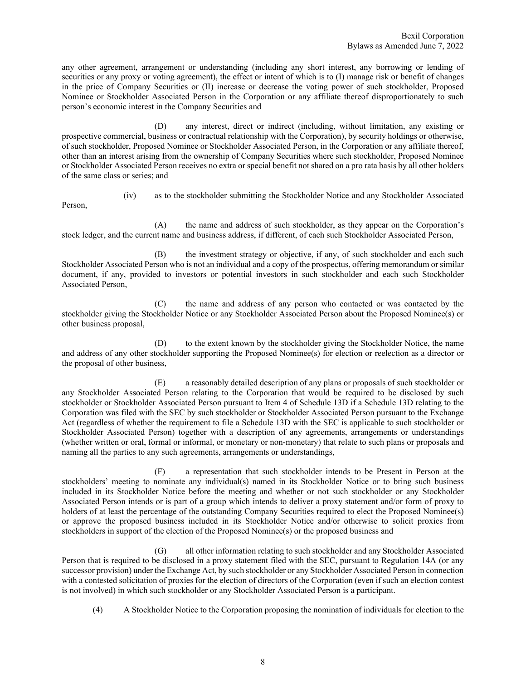any other agreement, arrangement or understanding (including any short interest, any borrowing or lending of securities or any proxy or voting agreement), the effect or intent of which is to (I) manage risk or benefit of changes in the price of Company Securities or (II) increase or decrease the voting power of such stockholder, Proposed Nominee or Stockholder Associated Person in the Corporation or any affiliate thereof disproportionately to such person's economic interest in the Company Securities and

 (D) any interest, direct or indirect (including, without limitation, any existing or prospective commercial, business or contractual relationship with the Corporation), by security holdings or otherwise, of such stockholder, Proposed Nominee or Stockholder Associated Person, in the Corporation or any affiliate thereof, other than an interest arising from the ownership of Company Securities where such stockholder, Proposed Nominee or Stockholder Associated Person receives no extra or special benefit not shared on a pro rata basis by all other holders of the same class or series; and

Person,

(iv) as to the stockholder submitting the Stockholder Notice and any Stockholder Associated

 (A) the name and address of such stockholder, as they appear on the Corporation's stock ledger, and the current name and business address, if different, of each such Stockholder Associated Person,

 (B) the investment strategy or objective, if any, of such stockholder and each such Stockholder Associated Person who is not an individual and a copy of the prospectus, offering memorandum or similar document, if any, provided to investors or potential investors in such stockholder and each such Stockholder Associated Person,

 (C) the name and address of any person who contacted or was contacted by the stockholder giving the Stockholder Notice or any Stockholder Associated Person about the Proposed Nominee(s) or other business proposal,

 (D) to the extent known by the stockholder giving the Stockholder Notice, the name and address of any other stockholder supporting the Proposed Nominee(s) for election or reelection as a director or the proposal of other business,

 (E) a reasonably detailed description of any plans or proposals of such stockholder or any Stockholder Associated Person relating to the Corporation that would be required to be disclosed by such stockholder or Stockholder Associated Person pursuant to Item 4 of Schedule 13D if a Schedule 13D relating to the Corporation was filed with the SEC by such stockholder or Stockholder Associated Person pursuant to the Exchange Act (regardless of whether the requirement to file a Schedule 13D with the SEC is applicable to such stockholder or Stockholder Associated Person) together with a description of any agreements, arrangements or understandings (whether written or oral, formal or informal, or monetary or non-monetary) that relate to such plans or proposals and naming all the parties to any such agreements, arrangements or understandings,

 (F) a representation that such stockholder intends to be Present in Person at the stockholders' meeting to nominate any individual(s) named in its Stockholder Notice or to bring such business included in its Stockholder Notice before the meeting and whether or not such stockholder or any Stockholder Associated Person intends or is part of a group which intends to deliver a proxy statement and/or form of proxy to holders of at least the percentage of the outstanding Company Securities required to elect the Proposed Nominee(s) or approve the proposed business included in its Stockholder Notice and/or otherwise to solicit proxies from stockholders in support of the election of the Proposed Nominee(s) or the proposed business and

 (G) all other information relating to such stockholder and any Stockholder Associated Person that is required to be disclosed in a proxy statement filed with the SEC, pursuant to Regulation 14A (or any successor provision) under the Exchange Act, by such stockholder or any Stockholder Associated Person in connection with a contested solicitation of proxies for the election of directors of the Corporation (even if such an election contest is not involved) in which such stockholder or any Stockholder Associated Person is a participant.

(4) A Stockholder Notice to the Corporation proposing the nomination of individuals for election to the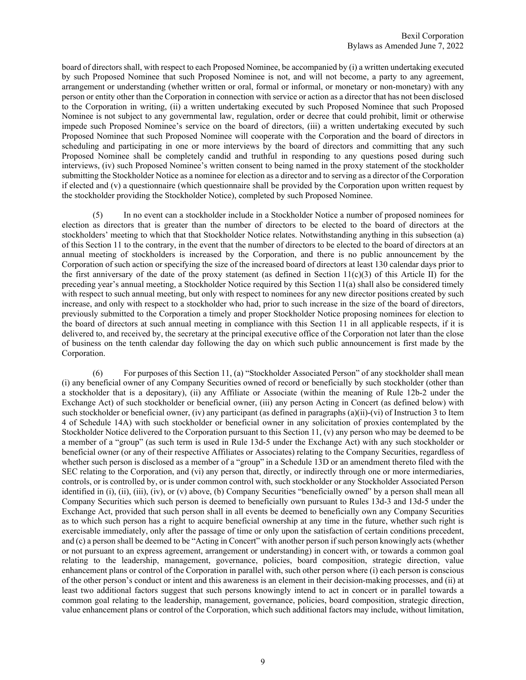board of directors shall, with respect to each Proposed Nominee, be accompanied by (i) a written undertaking executed by such Proposed Nominee that such Proposed Nominee is not, and will not become, a party to any agreement, arrangement or understanding (whether written or oral, formal or informal, or monetary or non-monetary) with any person or entity other than the Corporation in connection with service or action as a director that has not been disclosed to the Corporation in writing, (ii) a written undertaking executed by such Proposed Nominee that such Proposed Nominee is not subject to any governmental law, regulation, order or decree that could prohibit, limit or otherwise impede such Proposed Nominee's service on the board of directors, (iii) a written undertaking executed by such Proposed Nominee that such Proposed Nominee will cooperate with the Corporation and the board of directors in scheduling and participating in one or more interviews by the board of directors and committing that any such Proposed Nominee shall be completely candid and truthful in responding to any questions posed during such interviews, (iv) such Proposed Nominee's written consent to being named in the proxy statement of the stockholder submitting the Stockholder Notice as a nominee for election as a director and to serving as a director of the Corporation if elected and (v) a questionnaire (which questionnaire shall be provided by the Corporation upon written request by the stockholder providing the Stockholder Notice), completed by such Proposed Nominee.

In no event can a stockholder include in a Stockholder Notice a number of proposed nominees for election as directors that is greater than the number of directors to be elected to the board of directors at the stockholders' meeting to which that that Stockholder Notice relates. Notwithstanding anything in this subsection (a) of this Section 11 to the contrary, in the event that the number of directors to be elected to the board of directors at an annual meeting of stockholders is increased by the Corporation, and there is no public announcement by the Corporation of such action or specifying the size of the increased board of directors at least 130 calendar days prior to the first anniversary of the date of the proxy statement (as defined in Section  $11(c)(3)$  of this Article II) for the preceding year's annual meeting, a Stockholder Notice required by this Section 11(a) shall also be considered timely with respect to such annual meeting, but only with respect to nominees for any new director positions created by such increase, and only with respect to a stockholder who had, prior to such increase in the size of the board of directors, previously submitted to the Corporation a timely and proper Stockholder Notice proposing nominees for election to the board of directors at such annual meeting in compliance with this Section 11 in all applicable respects, if it is delivered to, and received by, the secretary at the principal executive office of the Corporation not later than the close of business on the tenth calendar day following the day on which such public announcement is first made by the Corporation.

 (6) For purposes of this Section 11, (a) "Stockholder Associated Person" of any stockholder shall mean (i) any beneficial owner of any Company Securities owned of record or beneficially by such stockholder (other than a stockholder that is a depositary), (ii) any Affiliate or Associate (within the meaning of Rule 12b-2 under the Exchange Act) of such stockholder or beneficial owner, (iii) any person Acting in Concert (as defined below) with such stockholder or beneficial owner, (iv) any participant (as defined in paragraphs (a)(ii)-(vi) of Instruction 3 to Item 4 of Schedule 14A) with such stockholder or beneficial owner in any solicitation of proxies contemplated by the Stockholder Notice delivered to the Corporation pursuant to this Section 11, (v) any person who may be deemed to be a member of a "group" (as such term is used in Rule 13d-5 under the Exchange Act) with any such stockholder or beneficial owner (or any of their respective Affiliates or Associates) relating to the Company Securities, regardless of whether such person is disclosed as a member of a "group" in a Schedule 13D or an amendment thereto filed with the SEC relating to the Corporation, and (vi) any person that, directly, or indirectly through one or more intermediaries, controls, or is controlled by, or is under common control with, such stockholder or any Stockholder Associated Person identified in (i), (ii), (iii), (iv), or (v) above, (b) Company Securities "beneficially owned" by a person shall mean all Company Securities which such person is deemed to beneficially own pursuant to Rules 13d-3 and 13d-5 under the Exchange Act, provided that such person shall in all events be deemed to beneficially own any Company Securities as to which such person has a right to acquire beneficial ownership at any time in the future, whether such right is exercisable immediately, only after the passage of time or only upon the satisfaction of certain conditions precedent, and (c) a person shall be deemed to be "Acting in Concert" with another person if such person knowingly acts (whether or not pursuant to an express agreement, arrangement or understanding) in concert with, or towards a common goal relating to the leadership, management, governance, policies, board composition, strategic direction, value enhancement plans or control of the Corporation in parallel with, such other person where (i) each person is conscious of the other person's conduct or intent and this awareness is an element in their decision-making processes, and (ii) at least two additional factors suggest that such persons knowingly intend to act in concert or in parallel towards a common goal relating to the leadership, management, governance, policies, board composition, strategic direction, value enhancement plans or control of the Corporation, which such additional factors may include, without limitation,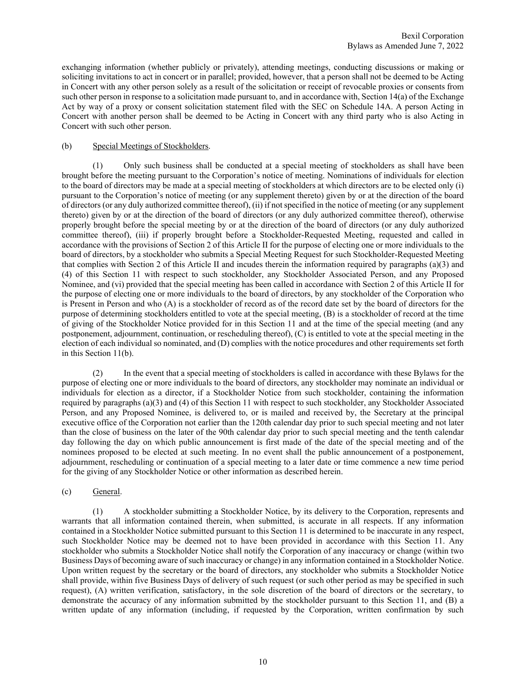exchanging information (whether publicly or privately), attending meetings, conducting discussions or making or soliciting invitations to act in concert or in parallel; provided, however, that a person shall not be deemed to be Acting in Concert with any other person solely as a result of the solicitation or receipt of revocable proxies or consents from such other person in response to a solicitation made pursuant to, and in accordance with, Section 14(a) of the Exchange Act by way of a proxy or consent solicitation statement filed with the SEC on Schedule 14A. A person Acting in Concert with another person shall be deemed to be Acting in Concert with any third party who is also Acting in Concert with such other person.

### (b) Special Meetings of Stockholders.

 (1) Only such business shall be conducted at a special meeting of stockholders as shall have been brought before the meeting pursuant to the Corporation's notice of meeting. Nominations of individuals for election to the board of directors may be made at a special meeting of stockholders at which directors are to be elected only (i) pursuant to the Corporation's notice of meeting (or any supplement thereto) given by or at the direction of the board of directors (or any duly authorized committee thereof), (ii) if not specified in the notice of meeting (or any supplement thereto) given by or at the direction of the board of directors (or any duly authorized committee thereof), otherwise properly brought before the special meeting by or at the direction of the board of directors (or any duly authorized committee thereof), (iii) if properly brought before a Stockholder-Requested Meeting, requested and called in accordance with the provisions of Section 2 of this Article II for the purpose of electing one or more individuals to the board of directors, by a stockholder who submits a Special Meeting Request for such Stockholder-Requested Meeting that complies with Section 2 of this Article II and incudes therein the information required by paragraphs (a)(3) and (4) of this Section 11 with respect to such stockholder, any Stockholder Associated Person, and any Proposed Nominee, and (vi) provided that the special meeting has been called in accordance with Section 2 of this Article II for the purpose of electing one or more individuals to the board of directors, by any stockholder of the Corporation who is Present in Person and who (A) is a stockholder of record as of the record date set by the board of directors for the purpose of determining stockholders entitled to vote at the special meeting, (B) is a stockholder of record at the time of giving of the Stockholder Notice provided for in this Section 11 and at the time of the special meeting (and any postponement, adjournment, continuation, or rescheduling thereof), (C) is entitled to vote at the special meeting in the election of each individual so nominated, and (D) complies with the notice procedures and other requirements set forth in this Section 11(b).

 (2) In the event that a special meeting of stockholders is called in accordance with these Bylaws for the purpose of electing one or more individuals to the board of directors, any stockholder may nominate an individual or individuals for election as a director, if a Stockholder Notice from such stockholder, containing the information required by paragraphs (a)(3) and (4) of this Section 11 with respect to such stockholder, any Stockholder Associated Person, and any Proposed Nominee, is delivered to, or is mailed and received by, the Secretary at the principal executive office of the Corporation not earlier than the 120th calendar day prior to such special meeting and not later than the close of business on the later of the 90th calendar day prior to such special meeting and the tenth calendar day following the day on which public announcement is first made of the date of the special meeting and of the nominees proposed to be elected at such meeting. In no event shall the public announcement of a postponement, adjournment, rescheduling or continuation of a special meeting to a later date or time commence a new time period for the giving of any Stockholder Notice or other information as described herein.

#### (c) General.

 (1) A stockholder submitting a Stockholder Notice, by its delivery to the Corporation, represents and warrants that all information contained therein, when submitted, is accurate in all respects. If any information contained in a Stockholder Notice submitted pursuant to this Section 11 is determined to be inaccurate in any respect, such Stockholder Notice may be deemed not to have been provided in accordance with this Section 11. Any stockholder who submits a Stockholder Notice shall notify the Corporation of any inaccuracy or change (within two Business Days of becoming aware of such inaccuracy or change) in any information contained in a Stockholder Notice. Upon written request by the secretary or the board of directors, any stockholder who submits a Stockholder Notice shall provide, within five Business Days of delivery of such request (or such other period as may be specified in such request), (A) written verification, satisfactory, in the sole discretion of the board of directors or the secretary, to demonstrate the accuracy of any information submitted by the stockholder pursuant to this Section 11, and (B) a written update of any information (including, if requested by the Corporation, written confirmation by such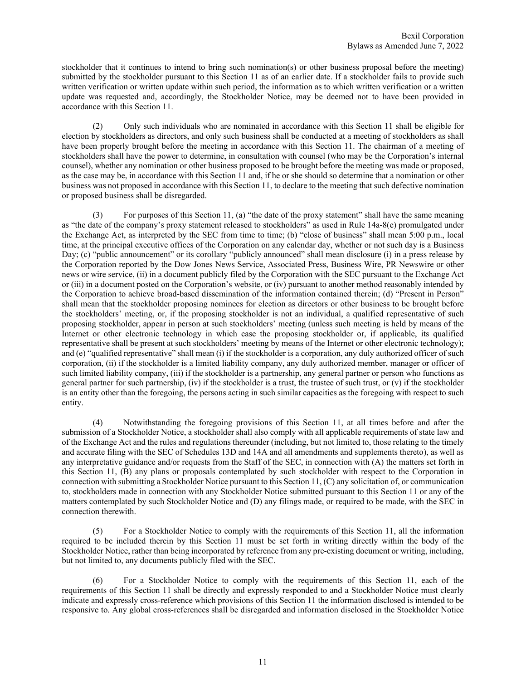stockholder that it continues to intend to bring such nomination(s) or other business proposal before the meeting) submitted by the stockholder pursuant to this Section 11 as of an earlier date. If a stockholder fails to provide such written verification or written update within such period, the information as to which written verification or a written update was requested and, accordingly, the Stockholder Notice, may be deemed not to have been provided in accordance with this Section 11.

 (2) Only such individuals who are nominated in accordance with this Section 11 shall be eligible for election by stockholders as directors, and only such business shall be conducted at a meeting of stockholders as shall have been properly brought before the meeting in accordance with this Section 11. The chairman of a meeting of stockholders shall have the power to determine, in consultation with counsel (who may be the Corporation's internal counsel), whether any nomination or other business proposed to be brought before the meeting was made or proposed, as the case may be, in accordance with this Section 11 and, if he or she should so determine that a nomination or other business was not proposed in accordance with this Section 11, to declare to the meeting that such defective nomination or proposed business shall be disregarded.

 (3) For purposes of this Section 11, (a) "the date of the proxy statement" shall have the same meaning as "the date of the company's proxy statement released to stockholders" as used in Rule 14a-8(e) promulgated under the Exchange Act, as interpreted by the SEC from time to time; (b) "close of business" shall mean 5:00 p.m., local time, at the principal executive offices of the Corporation on any calendar day, whether or not such day is a Business Day; (c) "public announcement" or its corollary "publicly announced" shall mean disclosure (i) in a press release by the Corporation reported by the Dow Jones News Service, Associated Press, Business Wire, PR Newswire or other news or wire service, (ii) in a document publicly filed by the Corporation with the SEC pursuant to the Exchange Act or (iii) in a document posted on the Corporation's website, or (iv) pursuant to another method reasonably intended by the Corporation to achieve broad-based dissemination of the information contained therein; (d) "Present in Person" shall mean that the stockholder proposing nominees for election as directors or other business to be brought before the stockholders' meeting, or, if the proposing stockholder is not an individual, a qualified representative of such proposing stockholder, appear in person at such stockholders' meeting (unless such meeting is held by means of the Internet or other electronic technology in which case the proposing stockholder or, if applicable, its qualified representative shall be present at such stockholders' meeting by means of the Internet or other electronic technology); and (e) "qualified representative" shall mean (i) if the stockholder is a corporation, any duly authorized officer of such corporation, (ii) if the stockholder is a limited liability company, any duly authorized member, manager or officer of such limited liability company, (iii) if the stockholder is a partnership, any general partner or person who functions as general partner for such partnership, (iv) if the stockholder is a trust, the trustee of such trust, or  $(v)$  if the stockholder is an entity other than the foregoing, the persons acting in such similar capacities as the foregoing with respect to such entity.

 (4) Notwithstanding the foregoing provisions of this Section 11, at all times before and after the submission of a Stockholder Notice, a stockholder shall also comply with all applicable requirements of state law and of the Exchange Act and the rules and regulations thereunder (including, but not limited to, those relating to the timely and accurate filing with the SEC of Schedules 13D and 14A and all amendments and supplements thereto), as well as any interpretative guidance and/or requests from the Staff of the SEC, in connection with (A) the matters set forth in this Section 11, (B) any plans or proposals contemplated by such stockholder with respect to the Corporation in connection with submitting a Stockholder Notice pursuant to this Section 11, (C) any solicitation of, or communication to, stockholders made in connection with any Stockholder Notice submitted pursuant to this Section 11 or any of the matters contemplated by such Stockholder Notice and (D) any filings made, or required to be made, with the SEC in connection therewith.

 (5) For a Stockholder Notice to comply with the requirements of this Section 11, all the information required to be included therein by this Section 11 must be set forth in writing directly within the body of the Stockholder Notice, rather than being incorporated by reference from any pre-existing document or writing, including, but not limited to, any documents publicly filed with the SEC.

 (6) For a Stockholder Notice to comply with the requirements of this Section 11, each of the requirements of this Section 11 shall be directly and expressly responded to and a Stockholder Notice must clearly indicate and expressly cross-reference which provisions of this Section 11 the information disclosed is intended to be responsive to. Any global cross-references shall be disregarded and information disclosed in the Stockholder Notice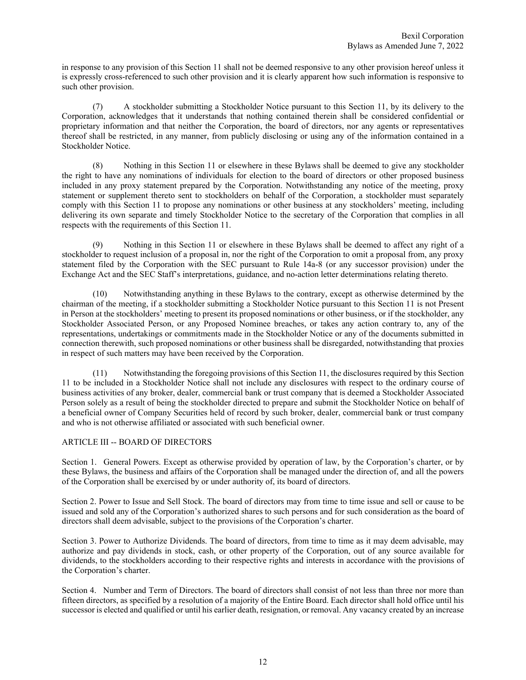in response to any provision of this Section 11 shall not be deemed responsive to any other provision hereof unless it is expressly cross-referenced to such other provision and it is clearly apparent how such information is responsive to such other provision.

 (7) A stockholder submitting a Stockholder Notice pursuant to this Section 11, by its delivery to the Corporation, acknowledges that it understands that nothing contained therein shall be considered confidential or proprietary information and that neither the Corporation, the board of directors, nor any agents or representatives thereof shall be restricted, in any manner, from publicly disclosing or using any of the information contained in a Stockholder Notice.

 (8) Nothing in this Section 11 or elsewhere in these Bylaws shall be deemed to give any stockholder the right to have any nominations of individuals for election to the board of directors or other proposed business included in any proxy statement prepared by the Corporation. Notwithstanding any notice of the meeting, proxy statement or supplement thereto sent to stockholders on behalf of the Corporation, a stockholder must separately comply with this Section 11 to propose any nominations or other business at any stockholders' meeting, including delivering its own separate and timely Stockholder Notice to the secretary of the Corporation that complies in all respects with the requirements of this Section 11.

 (9) Nothing in this Section 11 or elsewhere in these Bylaws shall be deemed to affect any right of a stockholder to request inclusion of a proposal in, nor the right of the Corporation to omit a proposal from, any proxy statement filed by the Corporation with the SEC pursuant to Rule 14a-8 (or any successor provision) under the Exchange Act and the SEC Staff's interpretations, guidance, and no-action letter determinations relating thereto.

 (10) Notwithstanding anything in these Bylaws to the contrary, except as otherwise determined by the chairman of the meeting, if a stockholder submitting a Stockholder Notice pursuant to this Section 11 is not Present in Person at the stockholders' meeting to present its proposed nominations or other business, or if the stockholder, any Stockholder Associated Person, or any Proposed Nominee breaches, or takes any action contrary to, any of the representations, undertakings or commitments made in the Stockholder Notice or any of the documents submitted in connection therewith, such proposed nominations or other business shall be disregarded, notwithstanding that proxies in respect of such matters may have been received by the Corporation.

 (11) Notwithstanding the foregoing provisions of this Section 11, the disclosures required by this Section 11 to be included in a Stockholder Notice shall not include any disclosures with respect to the ordinary course of business activities of any broker, dealer, commercial bank or trust company that is deemed a Stockholder Associated Person solely as a result of being the stockholder directed to prepare and submit the Stockholder Notice on behalf of a beneficial owner of Company Securities held of record by such broker, dealer, commercial bank or trust company and who is not otherwise affiliated or associated with such beneficial owner.

## ARTICLE III -- BOARD OF DIRECTORS

Section 1. General Powers. Except as otherwise provided by operation of law, by the Corporation's charter, or by these Bylaws, the business and affairs of the Corporation shall be managed under the direction of, and all the powers of the Corporation shall be exercised by or under authority of, its board of directors.

Section 2. Power to Issue and Sell Stock. The board of directors may from time to time issue and sell or cause to be issued and sold any of the Corporation's authorized shares to such persons and for such consideration as the board of directors shall deem advisable, subject to the provisions of the Corporation's charter.

Section 3. Power to Authorize Dividends. The board of directors, from time to time as it may deem advisable, may authorize and pay dividends in stock, cash, or other property of the Corporation, out of any source available for dividends, to the stockholders according to their respective rights and interests in accordance with the provisions of the Corporation's charter.

Section 4. Number and Term of Directors. The board of directors shall consist of not less than three nor more than fifteen directors, as specified by a resolution of a majority of the Entire Board. Each director shall hold office until his successor is elected and qualified or until his earlier death, resignation, or removal. Any vacancy created by an increase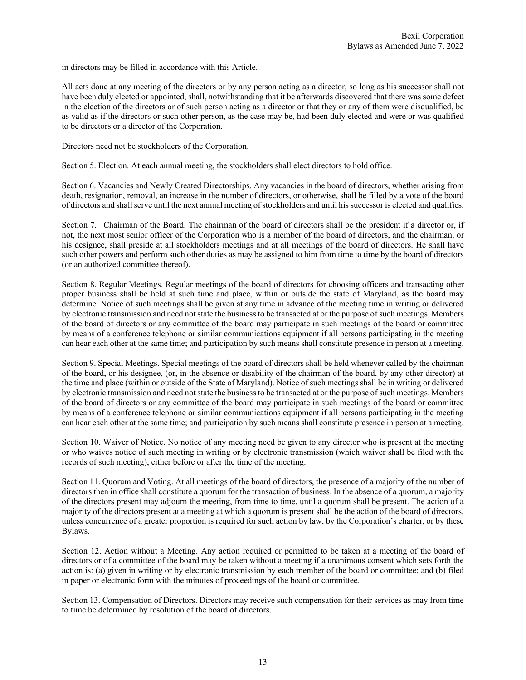in directors may be filled in accordance with this Article.

All acts done at any meeting of the directors or by any person acting as a director, so long as his successor shall not have been duly elected or appointed, shall, notwithstanding that it be afterwards discovered that there was some defect in the election of the directors or of such person acting as a director or that they or any of them were disqualified, be as valid as if the directors or such other person, as the case may be, had been duly elected and were or was qualified to be directors or a director of the Corporation.

Directors need not be stockholders of the Corporation.

Section 5. Election. At each annual meeting, the stockholders shall elect directors to hold office.

Section 6. Vacancies and Newly Created Directorships. Any vacancies in the board of directors, whether arising from death, resignation, removal, an increase in the number of directors, or otherwise, shall be filled by a vote of the board of directors and shall serve until the next annual meeting of stockholders and until his successor is elected and qualifies.

Section 7. Chairman of the Board. The chairman of the board of directors shall be the president if a director or, if not, the next most senior officer of the Corporation who is a member of the board of directors, and the chairman, or his designee, shall preside at all stockholders meetings and at all meetings of the board of directors. He shall have such other powers and perform such other duties as may be assigned to him from time to time by the board of directors (or an authorized committee thereof).

Section 8. Regular Meetings. Regular meetings of the board of directors for choosing officers and transacting other proper business shall be held at such time and place, within or outside the state of Maryland, as the board may determine. Notice of such meetings shall be given at any time in advance of the meeting time in writing or delivered by electronic transmission and need not state the business to be transacted at or the purpose of such meetings. Members of the board of directors or any committee of the board may participate in such meetings of the board or committee by means of a conference telephone or similar communications equipment if all persons participating in the meeting can hear each other at the same time; and participation by such means shall constitute presence in person at a meeting.

Section 9. Special Meetings. Special meetings of the board of directors shall be held whenever called by the chairman of the board, or his designee, (or, in the absence or disability of the chairman of the board, by any other director) at the time and place (within or outside of the State of Maryland). Notice of such meetings shall be in writing or delivered by electronic transmission and need not state the business to be transacted at or the purpose of such meetings. Members of the board of directors or any committee of the board may participate in such meetings of the board or committee by means of a conference telephone or similar communications equipment if all persons participating in the meeting can hear each other at the same time; and participation by such means shall constitute presence in person at a meeting.

Section 10. Waiver of Notice. No notice of any meeting need be given to any director who is present at the meeting or who waives notice of such meeting in writing or by electronic transmission (which waiver shall be filed with the records of such meeting), either before or after the time of the meeting.

Section 11. Quorum and Voting. At all meetings of the board of directors, the presence of a majority of the number of directors then in office shall constitute a quorum for the transaction of business. In the absence of a quorum, a majority of the directors present may adjourn the meeting, from time to time, until a quorum shall be present. The action of a majority of the directors present at a meeting at which a quorum is present shall be the action of the board of directors, unless concurrence of a greater proportion is required for such action by law, by the Corporation's charter, or by these Bylaws.

Section 12. Action without a Meeting. Any action required or permitted to be taken at a meeting of the board of directors or of a committee of the board may be taken without a meeting if a unanimous consent which sets forth the action is: (a) given in writing or by electronic transmission by each member of the board or committee; and (b) filed in paper or electronic form with the minutes of proceedings of the board or committee.

Section 13. Compensation of Directors. Directors may receive such compensation for their services as may from time to time be determined by resolution of the board of directors.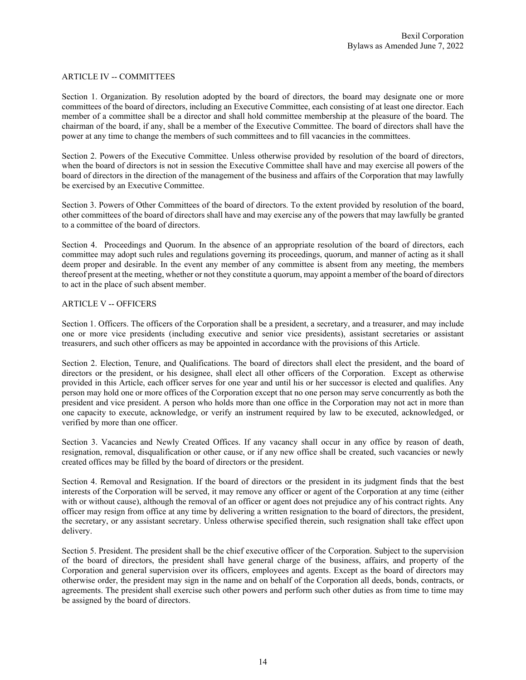#### ARTICLE IV -- COMMITTEES

Section 1. Organization. By resolution adopted by the board of directors, the board may designate one or more committees of the board of directors, including an Executive Committee, each consisting of at least one director. Each member of a committee shall be a director and shall hold committee membership at the pleasure of the board. The chairman of the board, if any, shall be a member of the Executive Committee. The board of directors shall have the power at any time to change the members of such committees and to fill vacancies in the committees.

Section 2. Powers of the Executive Committee. Unless otherwise provided by resolution of the board of directors, when the board of directors is not in session the Executive Committee shall have and may exercise all powers of the board of directors in the direction of the management of the business and affairs of the Corporation that may lawfully be exercised by an Executive Committee.

Section 3. Powers of Other Committees of the board of directors. To the extent provided by resolution of the board, other committees of the board of directors shall have and may exercise any of the powers that may lawfully be granted to a committee of the board of directors.

Section 4. Proceedings and Quorum. In the absence of an appropriate resolution of the board of directors, each committee may adopt such rules and regulations governing its proceedings, quorum, and manner of acting as it shall deem proper and desirable. In the event any member of any committee is absent from any meeting, the members thereof present at the meeting, whether or not they constitute a quorum, may appoint a member of the board of directors to act in the place of such absent member.

#### ARTICLE V -- OFFICERS

Section 1. Officers. The officers of the Corporation shall be a president, a secretary, and a treasurer, and may include one or more vice presidents (including executive and senior vice presidents), assistant secretaries or assistant treasurers, and such other officers as may be appointed in accordance with the provisions of this Article.

Section 2. Election, Tenure, and Qualifications. The board of directors shall elect the president, and the board of directors or the president, or his designee, shall elect all other officers of the Corporation. Except as otherwise provided in this Article, each officer serves for one year and until his or her successor is elected and qualifies. Any person may hold one or more offices of the Corporation except that no one person may serve concurrently as both the president and vice president. A person who holds more than one office in the Corporation may not act in more than one capacity to execute, acknowledge, or verify an instrument required by law to be executed, acknowledged, or verified by more than one officer.

Section 3. Vacancies and Newly Created Offices. If any vacancy shall occur in any office by reason of death, resignation, removal, disqualification or other cause, or if any new office shall be created, such vacancies or newly created offices may be filled by the board of directors or the president.

Section 4. Removal and Resignation. If the board of directors or the president in its judgment finds that the best interests of the Corporation will be served, it may remove any officer or agent of the Corporation at any time (either with or without cause), although the removal of an officer or agent does not prejudice any of his contract rights. Any officer may resign from office at any time by delivering a written resignation to the board of directors, the president, the secretary, or any assistant secretary. Unless otherwise specified therein, such resignation shall take effect upon delivery.

Section 5. President. The president shall be the chief executive officer of the Corporation. Subject to the supervision of the board of directors, the president shall have general charge of the business, affairs, and property of the Corporation and general supervision over its officers, employees and agents. Except as the board of directors may otherwise order, the president may sign in the name and on behalf of the Corporation all deeds, bonds, contracts, or agreements. The president shall exercise such other powers and perform such other duties as from time to time may be assigned by the board of directors.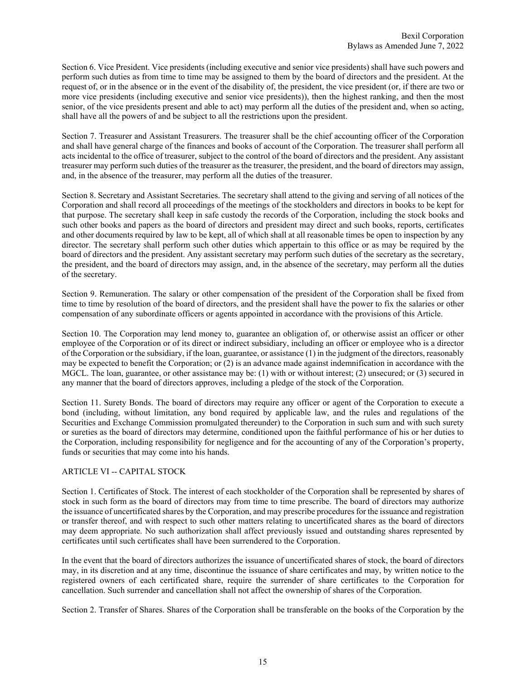Section 6. Vice President. Vice presidents (including executive and senior vice presidents) shall have such powers and perform such duties as from time to time may be assigned to them by the board of directors and the president. At the request of, or in the absence or in the event of the disability of, the president, the vice president (or, if there are two or more vice presidents (including executive and senior vice presidents)), then the highest ranking, and then the most senior, of the vice presidents present and able to act) may perform all the duties of the president and, when so acting, shall have all the powers of and be subject to all the restrictions upon the president.

Section 7. Treasurer and Assistant Treasurers. The treasurer shall be the chief accounting officer of the Corporation and shall have general charge of the finances and books of account of the Corporation. The treasurer shall perform all acts incidental to the office of treasurer, subject to the control of the board of directors and the president. Any assistant treasurer may perform such duties of the treasurer as the treasurer, the president, and the board of directors may assign, and, in the absence of the treasurer, may perform all the duties of the treasurer.

Section 8. Secretary and Assistant Secretaries. The secretary shall attend to the giving and serving of all notices of the Corporation and shall record all proceedings of the meetings of the stockholders and directors in books to be kept for that purpose. The secretary shall keep in safe custody the records of the Corporation, including the stock books and such other books and papers as the board of directors and president may direct and such books, reports, certificates and other documents required by law to be kept, all of which shall at all reasonable times be open to inspection by any director. The secretary shall perform such other duties which appertain to this office or as may be required by the board of directors and the president. Any assistant secretary may perform such duties of the secretary as the secretary, the president, and the board of directors may assign, and, in the absence of the secretary, may perform all the duties of the secretary.

Section 9. Remuneration. The salary or other compensation of the president of the Corporation shall be fixed from time to time by resolution of the board of directors, and the president shall have the power to fix the salaries or other compensation of any subordinate officers or agents appointed in accordance with the provisions of this Article.

Section 10. The Corporation may lend money to, guarantee an obligation of, or otherwise assist an officer or other employee of the Corporation or of its direct or indirect subsidiary, including an officer or employee who is a director of the Corporation or the subsidiary, if the loan, guarantee, or assistance (1) in the judgment of the directors, reasonably may be expected to benefit the Corporation; or (2) is an advance made against indemnification in accordance with the MGCL. The loan, guarantee, or other assistance may be: (1) with or without interest; (2) unsecured; or (3) secured in any manner that the board of directors approves, including a pledge of the stock of the Corporation.

Section 11. Surety Bonds. The board of directors may require any officer or agent of the Corporation to execute a bond (including, without limitation, any bond required by applicable law, and the rules and regulations of the Securities and Exchange Commission promulgated thereunder) to the Corporation in such sum and with such surety or sureties as the board of directors may determine, conditioned upon the faithful performance of his or her duties to the Corporation, including responsibility for negligence and for the accounting of any of the Corporation's property, funds or securities that may come into his hands.

## ARTICLE VI -- CAPITAL STOCK

Section 1. Certificates of Stock. The interest of each stockholder of the Corporation shall be represented by shares of stock in such form as the board of directors may from time to time prescribe. The board of directors may authorize the issuance of uncertificated shares by the Corporation, and may prescribe procedures for the issuance and registration or transfer thereof, and with respect to such other matters relating to uncertificated shares as the board of directors may deem appropriate. No such authorization shall affect previously issued and outstanding shares represented by certificates until such certificates shall have been surrendered to the Corporation.

In the event that the board of directors authorizes the issuance of uncertificated shares of stock, the board of directors may, in its discretion and at any time, discontinue the issuance of share certificates and may, by written notice to the registered owners of each certificated share, require the surrender of share certificates to the Corporation for cancellation. Such surrender and cancellation shall not affect the ownership of shares of the Corporation.

Section 2. Transfer of Shares. Shares of the Corporation shall be transferable on the books of the Corporation by the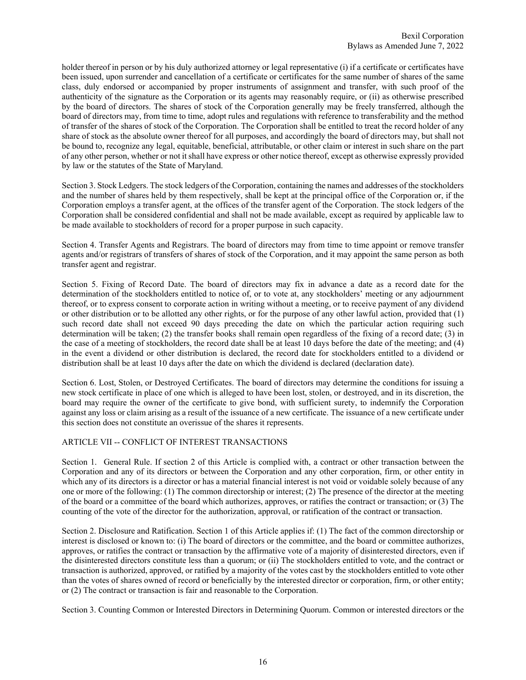holder thereof in person or by his duly authorized attorney or legal representative (i) if a certificate or certificates have been issued, upon surrender and cancellation of a certificate or certificates for the same number of shares of the same class, duly endorsed or accompanied by proper instruments of assignment and transfer, with such proof of the authenticity of the signature as the Corporation or its agents may reasonably require, or (ii) as otherwise prescribed by the board of directors. The shares of stock of the Corporation generally may be freely transferred, although the board of directors may, from time to time, adopt rules and regulations with reference to transferability and the method of transfer of the shares of stock of the Corporation. The Corporation shall be entitled to treat the record holder of any share of stock as the absolute owner thereof for all purposes, and accordingly the board of directors may, but shall not be bound to, recognize any legal, equitable, beneficial, attributable, or other claim or interest in such share on the part of any other person, whether or not it shall have express or other notice thereof, except as otherwise expressly provided by law or the statutes of the State of Maryland.

Section 3. Stock Ledgers. The stock ledgers of the Corporation, containing the names and addresses of the stockholders and the number of shares held by them respectively, shall be kept at the principal office of the Corporation or, if the Corporation employs a transfer agent, at the offices of the transfer agent of the Corporation. The stock ledgers of the Corporation shall be considered confidential and shall not be made available, except as required by applicable law to be made available to stockholders of record for a proper purpose in such capacity.

Section 4. Transfer Agents and Registrars. The board of directors may from time to time appoint or remove transfer agents and/or registrars of transfers of shares of stock of the Corporation, and it may appoint the same person as both transfer agent and registrar.

Section 5. Fixing of Record Date. The board of directors may fix in advance a date as a record date for the determination of the stockholders entitled to notice of, or to vote at, any stockholders' meeting or any adjournment thereof, or to express consent to corporate action in writing without a meeting, or to receive payment of any dividend or other distribution or to be allotted any other rights, or for the purpose of any other lawful action, provided that (1) such record date shall not exceed 90 days preceding the date on which the particular action requiring such determination will be taken; (2) the transfer books shall remain open regardless of the fixing of a record date; (3) in the case of a meeting of stockholders, the record date shall be at least 10 days before the date of the meeting; and (4) in the event a dividend or other distribution is declared, the record date for stockholders entitled to a dividend or distribution shall be at least 10 days after the date on which the dividend is declared (declaration date).

Section 6. Lost, Stolen, or Destroyed Certificates. The board of directors may determine the conditions for issuing a new stock certificate in place of one which is alleged to have been lost, stolen, or destroyed, and in its discretion, the board may require the owner of the certificate to give bond, with sufficient surety, to indemnify the Corporation against any loss or claim arising as a result of the issuance of a new certificate. The issuance of a new certificate under this section does not constitute an overissue of the shares it represents.

## ARTICLE VII -- CONFLICT OF INTEREST TRANSACTIONS

Section 1. General Rule. If section 2 of this Article is complied with, a contract or other transaction between the Corporation and any of its directors or between the Corporation and any other corporation, firm, or other entity in which any of its directors is a director or has a material financial interest is not void or voidable solely because of any one or more of the following: (1) The common directorship or interest; (2) The presence of the director at the meeting of the board or a committee of the board which authorizes, approves, or ratifies the contract or transaction; or (3) The counting of the vote of the director for the authorization, approval, or ratification of the contract or transaction.

Section 2. Disclosure and Ratification. Section 1 of this Article applies if: (1) The fact of the common directorship or interest is disclosed or known to: (i) The board of directors or the committee, and the board or committee authorizes, approves, or ratifies the contract or transaction by the affirmative vote of a majority of disinterested directors, even if the disinterested directors constitute less than a quorum; or (ii) The stockholders entitled to vote, and the contract or transaction is authorized, approved, or ratified by a majority of the votes cast by the stockholders entitled to vote other than the votes of shares owned of record or beneficially by the interested director or corporation, firm, or other entity; or (2) The contract or transaction is fair and reasonable to the Corporation.

Section 3. Counting Common or Interested Directors in Determining Quorum. Common or interested directors or the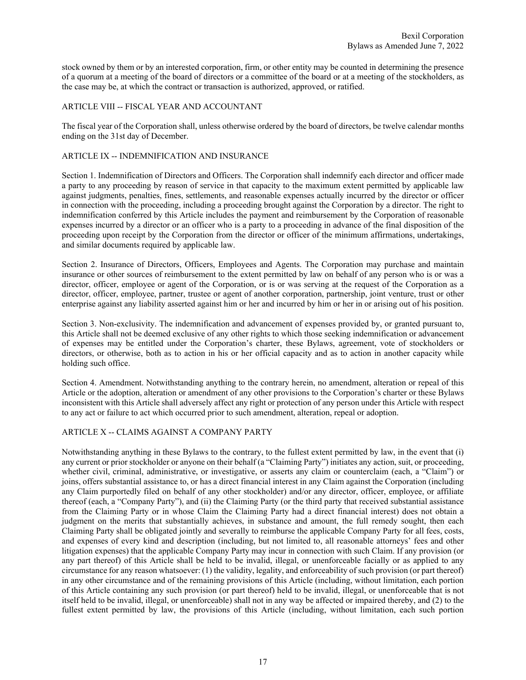stock owned by them or by an interested corporation, firm, or other entity may be counted in determining the presence of a quorum at a meeting of the board of directors or a committee of the board or at a meeting of the stockholders, as the case may be, at which the contract or transaction is authorized, approved, or ratified.

# ARTICLE VIII -- FISCAL YEAR AND ACCOUNTANT

The fiscal year of the Corporation shall, unless otherwise ordered by the board of directors, be twelve calendar months ending on the 31st day of December.

# ARTICLE IX -- INDEMNIFICATION AND INSURANCE

Section 1. Indemnification of Directors and Officers. The Corporation shall indemnify each director and officer made a party to any proceeding by reason of service in that capacity to the maximum extent permitted by applicable law against judgments, penalties, fines, settlements, and reasonable expenses actually incurred by the director or officer in connection with the proceeding, including a proceeding brought against the Corporation by a director. The right to indemnification conferred by this Article includes the payment and reimbursement by the Corporation of reasonable expenses incurred by a director or an officer who is a party to a proceeding in advance of the final disposition of the proceeding upon receipt by the Corporation from the director or officer of the minimum affirmations, undertakings, and similar documents required by applicable law.

Section 2. Insurance of Directors, Officers, Employees and Agents. The Corporation may purchase and maintain insurance or other sources of reimbursement to the extent permitted by law on behalf of any person who is or was a director, officer, employee or agent of the Corporation, or is or was serving at the request of the Corporation as a director, officer, employee, partner, trustee or agent of another corporation, partnership, joint venture, trust or other enterprise against any liability asserted against him or her and incurred by him or her in or arising out of his position.

Section 3. Non-exclusivity. The indemnification and advancement of expenses provided by, or granted pursuant to, this Article shall not be deemed exclusive of any other rights to which those seeking indemnification or advancement of expenses may be entitled under the Corporation's charter, these Bylaws, agreement, vote of stockholders or directors, or otherwise, both as to action in his or her official capacity and as to action in another capacity while holding such office.

Section 4. Amendment. Notwithstanding anything to the contrary herein, no amendment, alteration or repeal of this Article or the adoption, alteration or amendment of any other provisions to the Corporation's charter or these Bylaws inconsistent with this Article shall adversely affect any right or protection of any person under this Article with respect to any act or failure to act which occurred prior to such amendment, alteration, repeal or adoption.

## ARTICLE X -- CLAIMS AGAINST A COMPANY PARTY

Notwithstanding anything in these Bylaws to the contrary, to the fullest extent permitted by law, in the event that (i) any current or prior stockholder or anyone on their behalf (a "Claiming Party") initiates any action, suit, or proceeding, whether civil, criminal, administrative, or investigative, or asserts any claim or counterclaim (each, a "Claim") or joins, offers substantial assistance to, or has a direct financial interest in any Claim against the Corporation (including any Claim purportedly filed on behalf of any other stockholder) and/or any director, officer, employee, or affiliate thereof (each, a "Company Party"), and (ii) the Claiming Party (or the third party that received substantial assistance from the Claiming Party or in whose Claim the Claiming Party had a direct financial interest) does not obtain a judgment on the merits that substantially achieves, in substance and amount, the full remedy sought, then each Claiming Party shall be obligated jointly and severally to reimburse the applicable Company Party for all fees, costs, and expenses of every kind and description (including, but not limited to, all reasonable attorneys' fees and other litigation expenses) that the applicable Company Party may incur in connection with such Claim. If any provision (or any part thereof) of this Article shall be held to be invalid, illegal, or unenforceable facially or as applied to any circumstance for any reason whatsoever: (1) the validity, legality, and enforceability of such provision (or part thereof) in any other circumstance and of the remaining provisions of this Article (including, without limitation, each portion of this Article containing any such provision (or part thereof) held to be invalid, illegal, or unenforceable that is not itself held to be invalid, illegal, or unenforceable) shall not in any way be affected or impaired thereby, and (2) to the fullest extent permitted by law, the provisions of this Article (including, without limitation, each such portion